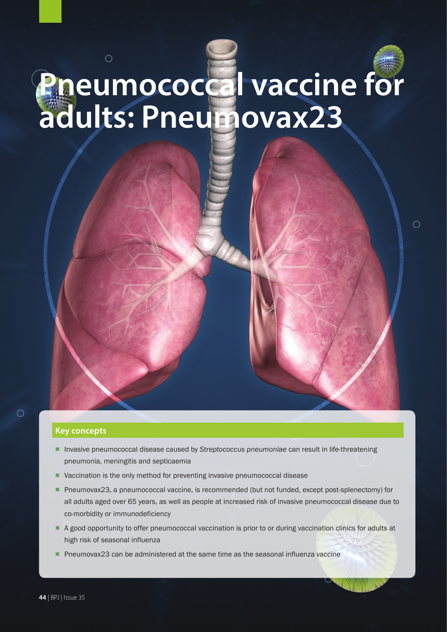## $\circ$ **Pneumococcal vaccine for adults: Pneumovax23**

 $\bigcirc$ 

#### **Key concepts**

- Invasive pneumococcal disease caused by *Streptococcus pneumoniae* can result in life-threatening pneumonia, meningitis and septicaemia
- Vaccination is the only method for preventing invasive pneumococcal disease
- Pneumovax23, a pneumococcal vaccine, is recommended (but not funded, except post-splenectomy) for all adults aged over 65 years, as well as people at increased risk of invasive pneumococcal disease due to co-morbidity or immunodeficiency
- A good opportunity to offer pneumococcal vaccination is prior to or during vaccination clinics for adults at high risk of seasonal influenza
- Pneumovax23 can be administered at the same time as the seasonal influenza vaccine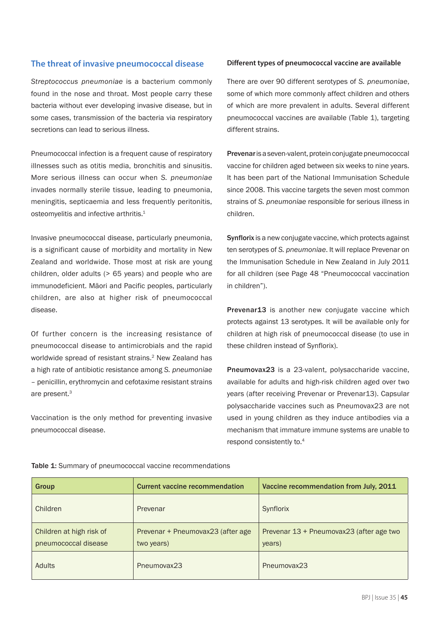#### **The threat of invasive pneumococcal disease**

*Streptococcus pneumoniae* is a bacterium commonly found in the nose and throat. Most people carry these bacteria without ever developing invasive disease, but in some cases, transmission of the bacteria via respiratory secretions can lead to serious illness.

Pneumococcal infection is a frequent cause of respiratory illnesses such as otitis media, bronchitis and sinusitis. More serious illness can occur when *S. pneumoniae* invades normally sterile tissue, leading to pneumonia, meningitis, septicaemia and less frequently peritonitis, osteomyelitis and infective arthritis.<sup>1</sup>

Invasive pneumococcal disease, particularly pneumonia, is a significant cause of morbidity and mortality in New Zealand and worldwide. Those most at risk are young children, older adults (> 65 years) and people who are immunodeficient. Māori and Pacific peoples, particularly children, are also at higher risk of pneumococcal disease.

Of further concern is the increasing resistance of pneumococcal disease to antimicrobials and the rapid worldwide spread of resistant strains.<sup>2</sup> New Zealand has a high rate of antibiotic resistance among *S. pneumoniae* – penicillin, erythromycin and cefotaxime resistant strains are present.3

Vaccination is the only method for preventing invasive pneumococcal disease.

#### **Different types of pneumococcal vaccine are available**

There are over 90 different serotypes of *S. pneumoniae*, some of which more commonly affect children and others of which are more prevalent in adults. Several different pneumococcal vaccines are available (Table 1), targeting different strains.

Prevenar is a seven-valent, protein conjugate pneumococcal vaccine for children aged between six weeks to nine years. It has been part of the National Immunisation Schedule since 2008. This vaccine targets the seven most common strains of *S. pneumoniae* responsible for serious illness in children.

Synflorix is a new conjugate vaccine, which protects against ten serotypes of *S. pneumoniae*. It will replace Prevenar on the Immunisation Schedule in New Zealand in July 2011 for all children (see Page 48 "Pneumococcal vaccination in children").

Prevenar13 is another new conjugate vaccine which protects against 13 serotypes. It will be available only for children at high risk of pneumococcal disease (to use in these children instead of Synflorix).

Pneumovax23 is a 23-valent, polysaccharide vaccine, available for adults and high-risk children aged over two years (after receiving Prevenar or Prevenar13). Capsular polysaccharide vaccines such as Pneumovax23 are not used in young children as they induce antibodies via a mechanism that immature immune systems are unable to respond consistently to.4

| Group                                            | <b>Current vaccine recommendation</b>           | Vaccine recommendation from July, 2011             |
|--------------------------------------------------|-------------------------------------------------|----------------------------------------------------|
| Children                                         | Prevenar                                        | Synflorix                                          |
| Children at high risk of<br>pneumococcal disease | Prevenar + Pneumovax23 (after age<br>two years) | Prevenar 13 + Pneumovax23 (after age two<br>years) |
| Adults                                           | Pneumovax23                                     | Pneumovax23                                        |

Table 1: Summary of pneumococcal vaccine recommendations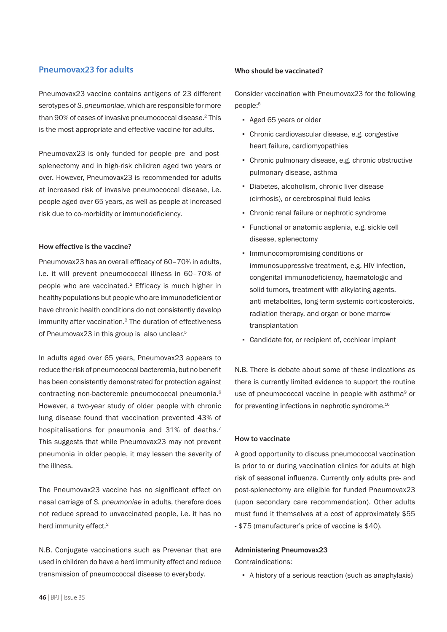#### **Pneumovax23 for adults**

Pneumovax23 vaccine contains antigens of 23 different serotypes of *S. pneumoniae*, which are responsible for more than 90% of cases of invasive pneumococcal disease.<sup>2</sup> This is the most appropriate and effective vaccine for adults.

Pneumovax23 is only funded for people pre- and postsplenectomy and in high-risk children aged two years or over. However, Pneumovax23 is recommended for adults at increased risk of invasive pneumococcal disease, i.e. people aged over 65 years, as well as people at increased risk due to co-morbidity or immunodeficiency.

#### **How effective is the vaccine?**

Pneumovax23 has an overall efficacy of 60–70% in adults, i.e. it will prevent pneumococcal illness in 60–70% of people who are vaccinated.2 Efficacy is much higher in healthy populations but people who are immunodeficient or have chronic health conditions do not consistently develop immunity after vaccination.<sup>2</sup> The duration of effectiveness of Pneumovax23 in this group is also unclear.<sup>5</sup>

In adults aged over 65 years, Pneumovax23 appears to reduce the risk of pneumococcal bacteremia, but no benefit has been consistently demonstrated for protection against contracting non-bacteremic pneumococcal pneumonia.<sup>6</sup> However, a two-year study of older people with chronic lung disease found that vaccination prevented 43% of hospitalisations for pneumonia and 31% of deaths.<sup>7</sup> This suggests that while Pneumovax23 may not prevent pneumonia in older people, it may lessen the severity of the illness.

The Pneumovax23 vaccine has no significant effect on nasal carriage of *S. pneumoniae* in adults, therefore does not reduce spread to unvaccinated people, i.e. it has no herd immunity effect.<sup>2</sup>

N.B. Conjugate vaccinations such as Prevenar that are used in children do have a herd immunity effect and reduce transmission of pneumococcal disease to everybody.

#### **Who should be vaccinated?**

Consider vaccination with Pneumovax23 for the following people:<sup>8</sup>

- Aged 65 years or older
- Chronic cardiovascular disease, e.g. congestive heart failure, cardiomyopathies
- Chronic pulmonary disease, e.g. chronic obstructive pulmonary disease, asthma
- Diabetes, alcoholism, chronic liver disease (cirrhosis), or cerebrospinal fluid leaks
- Chronic renal failure or nephrotic syndrome
- Functional or anatomic asplenia, e.g. sickle cell disease, splenectomy
- Immunocompromising conditions or immunosuppressive treatment, e.g. HIV infection, congenital immunodeficiency, haematologic and solid tumors, treatment with alkylating agents, anti-metabolites, long-term systemic corticosteroids, radiation therapy, and organ or bone marrow transplantation
- Candidate for, or recipient of, cochlear implant

N.B. There is debate about some of these indications as there is currently limited evidence to support the routine use of pneumococcal vaccine in people with asthma<sup>9</sup> or for preventing infections in nephrotic syndrome.<sup>10</sup>

#### **How to vaccinate**

A good opportunity to discuss pneumococcal vaccination is prior to or during vaccination clinics for adults at high risk of seasonal influenza. Currently only adults pre- and post-splenectomy are eligible for funded Pneumovax23 (upon secondary care recommendation). Other adults must fund it themselves at a cost of approximately \$55 - \$75 (manufacturer's price of vaccine is \$40).

#### Administering Pneumovax23

Contraindications:

▪ A history of a serious reaction (such as anaphylaxis)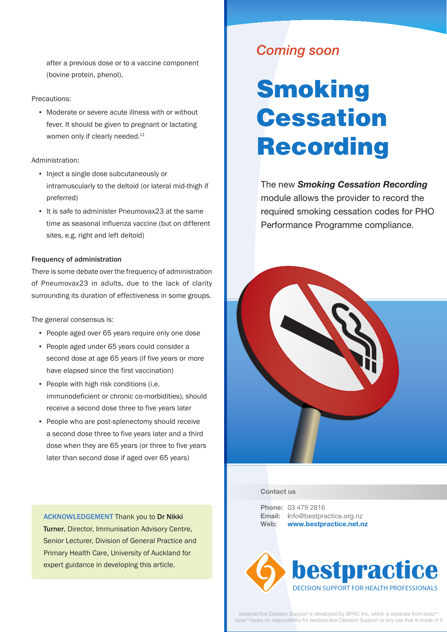after a previous dose or to a vaccine component (bovine protein, phenol).

#### Precautions:

▪ Moderate or severe acute illness with or without fever. It should be given to pregnant or lactating women only if clearly needed.<sup>11</sup>

#### Administration:

- Inject a single dose subcutaneously or intramuscularly to the deltoid (or lateral mid-thigh if preferred)
- It is safe to administer Pneumovax23 at the same time as seasonal influenza vaccine (but on different sites, e.g. right and left deltoid)

#### Frequency of administration

There is some debate over the frequency of administration of Pneumovax23 in adults, due to the lack of clarity surrounding its duration of effectiveness in some groups.

The general consensus is:

- People aged over 65 years require only one dose
- People aged under 65 years could consider a second dose at age 65 years (if five years or more have elapsed since the first vaccination)
- People with high risk conditions (i.e. immunodeficient or chronic co-morbidities), should receive a second dose three to five years later
- People who are post-splenectomy should receive a second dose three to five years later and a third dose when they are 65 years (or three to five years later than second dose if aged over 65 years)

ACKNOWLEDGEMENT Thank you to Dr Nikki Turner, Director, Immunisation Advisory Centre, Senior Lecturer, Division of General Practice and Primary Health Care, University of Auckland for expert guidance in developing this article.

### *Coming soon*

# **Smoking Cessation** Recording

The new *Smoking Cessation Recording* module allows the provider to record the required smoking cessation codes for PHO Performance Programme compliance.



#### **Contact us**

**Phone:** 03 479 2816 **Email: i**nfo@bestpractice.org.nz **Web: www.bestpractice.net.nz**



*bestpractice* Decision Support is developed by BPAC Inc, which is separate from bpac<sup>nz</sup>. bpac<sup>nz</sup> bears no responsibility for *bestpractice* Decision Support or any use that is made of it.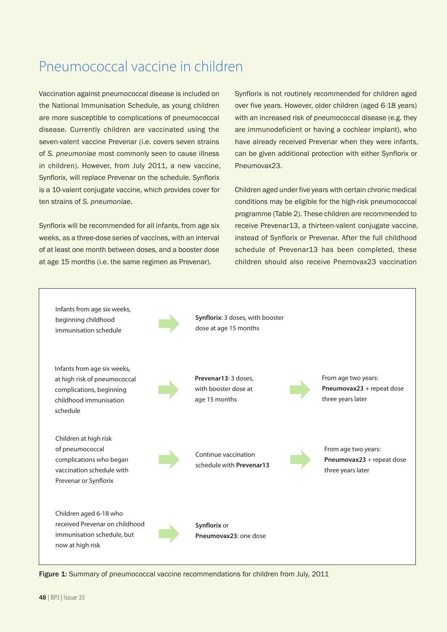### Pneumococcal vaccine in children

Vaccination against pneumococcal disease is included on the National Immunisation Schedule, as young children are more susceptible to complications of pneumococcal disease. Currently children are vaccinated using the seven-valent vaccine Prevenar (i.e. covers seven strains of *S. pneumoniae* most commonly seen to cause illness in children). However, from July 2011, a new vaccine, Synflorix, will replace Prevenar on the schedule. Synflorix is a 10-valent conjugate vaccine, which provides cover for ten strains of *S. pneumoniae*.

Synflorix will be recommended for all infants, from age six weeks, as a three-dose series of vaccines, with an interval of at least one month between doses, and a booster dose at age 15 months (i.e. the same regimen as Prevenar).

Synflorix is not routinely recommended for children aged over five years. However, older children (aged 6-18 years) with an increased risk of pneumococcal disease (e.g. they are immunodeficient or having a cochlear implant), who have already received Prevenar when they were infants, can be given additional protection with either Synflorix or Pneumovax23.

Children aged under five years with certain chronic medical conditions may be eligible for the high-risk pneumococcal programme (Table 2). These children are recommended to receive Prevenar13, a thirteen-valent conjugate vaccine, instead of Synflorix or Prevenar. After the full childhood schedule of Prevenar13 has been completed, these children should also receive Pnemovax23 vaccination



Figure 1: Summary of pneumococcal vaccine recommendations for children from July, 2011